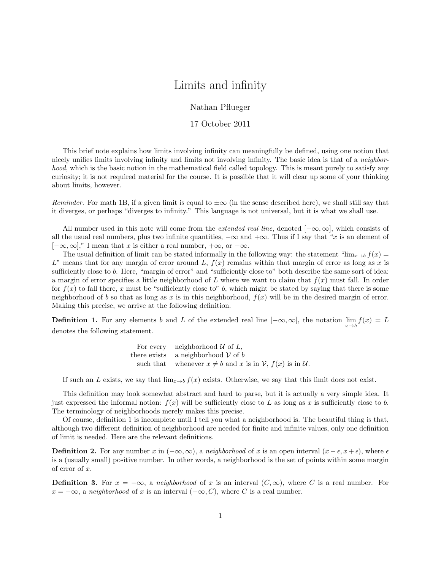## Limits and infinity

Nathan Pflueger

## 17 October 2011

This brief note explains how limits involving infinity can meaningfully be defined, using one notion that nicely unifies limits involving infinity and limits not involving infinity. The basic idea is that of a *neighbor*hood, which is the basic notion in the mathematical field called topology. This is meant purely to satisfy any curiosity; it is not required material for the course. It is possible that it will clear up some of your thinking about limits, however.

Reminder. For math 1B, if a given limit is equal to  $\pm \infty$  (in the sense described here), we shall still say that it diverges, or perhaps "diverges to infinity." This language is not universal, but it is what we shall use.

All number used in this note will come from the *extended real line*, denoted  $[-\infty, \infty]$ , which consists of all the usual real numbers, plus two infinite quantities,  $-\infty$  and  $+\infty$ . Thus if I say that "x is an element of  $[-\infty, \infty]$ ," I mean that x is either a real number,  $+\infty$ , or  $-\infty$ .

The usual definition of limit can be stated informally in the following way: the statement "lim<sub>x→b</sub>  $f(x)$  = L" means that for any margin of error around L,  $f(x)$  remains within that margin of error as long as x is sufficiently close to b. Here, "margin of error" and "sufficiently close to" both describe the same sort of idea: a margin of error specifies a little neighborhood of L where we want to claim that  $f(x)$  must fall. In order for  $f(x)$  to fall there, x must be "sufficiently close to" b, which might be stated by saying that there is some neighborhood of b so that as long as x is in this neighborhood,  $f(x)$  will be in the desired margin of error. Making this precise, we arrive at the following definition.

**Definition 1.** For any elements b and L of the extended real line  $[-\infty, \infty]$ , the notation  $\lim_{x\to b} f(x) = L$ denotes the following statement.

For every neighborhood 
$$
U
$$
 of  $L$ ,  
there exists a neighborhood  $V$  of  $b$   
such that whenever  $x \neq b$  and  $x$  is in  $V$ ,  $f(x)$  is in  $U$ .

If such an L exists, we say that  $\lim_{x\to b} f(x)$  exists. Otherwise, we say that this limit does not exist.

This definition may look somewhat abstract and hard to parse, but it is actually a very simple idea. It just expressed the informal notion:  $f(x)$  will be sufficiently close to L as long as x is sufficiently close to b. The terminology of neighborhoods merely makes this precise.

Of course, definition 1 is incomplete until I tell you what a neighborhood is. The beautiful thing is that, although two different definition of neighborhood are needed for finite and infinite values, only one definition of limit is needed. Here are the relevant definitions.

**Definition 2.** For any number x in  $(-\infty, \infty)$ , a neighborhood of x is an open interval  $(x - \epsilon, x + \epsilon)$ , where  $\epsilon$ is a (usually small) positive number. In other words, a neighborhood is the set of points within some margin of error of x.

**Definition 3.** For  $x = +\infty$ , a neighborhood of x is an interval  $(C, \infty)$ , where C is a real number. For  $x = -\infty$ , a neighborhood of x is an interval  $(-\infty, C)$ , where C is a real number.